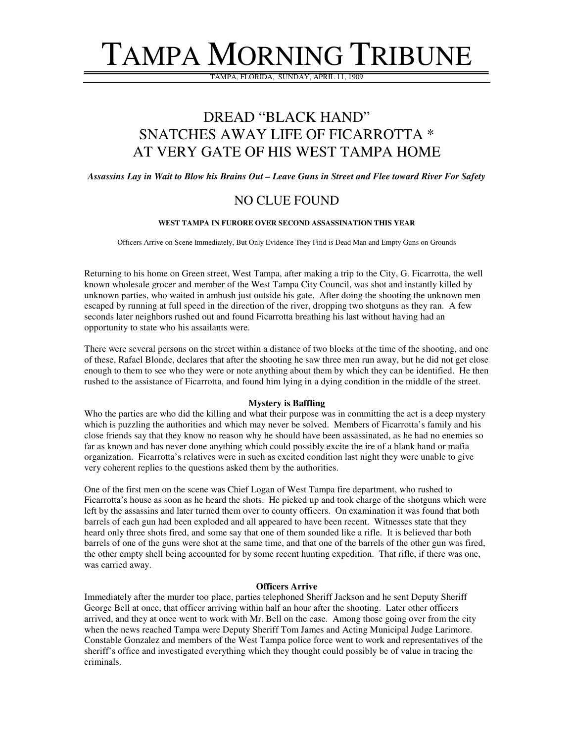# TAMPA MORNING TRIBUNE

TAMPA, FLORIDA, SUNDAY, APRIL 11, 1909

## DREAD "BLACK HAND" SNATCHES AWAY LIFE OF FICARROTTA \* AT VERY GATE OF HIS WEST TAMPA HOME

Assassins Lay in Wait to Blow his Brains Out - Leave Guns in Street and Flee toward River For Safety

### NO CLUE FOUND

#### **WEST TAMPA IN FURORE OVER SECOND ASSASSINATION THIS YEAR**

Officers Arrive on Scene Immediately, But Only Evidence They Find is Dead Man and Empty Guns on Grounds

Returning to his home on Green street, West Tampa, after making a trip to the City, G. Ficarrotta, the well known wholesale grocer and member of the West Tampa City Council, was shot and instantly killed by unknown parties, who waited in ambush just outside his gate. After doing the shooting the unknown men escaped by running at full speed in the direction of the river, dropping two shotguns as they ran. A few seconds later neighbors rushed out and found Ficarrotta breathing his last without having had an opportunity to state who his assailants were.

There were several persons on the street within a distance of two blocks at the time of the shooting, and one of these, Rafael Blonde, declares that after the shooting he saw three men run away, but he did not get close enough to them to see who they were or note anything about them by which they can be identified. He then rushed to the assistance of Ficarrotta, and found him lying in a dying condition in the middle of the street.

#### **Mystery is Baffling**

Who the parties are who did the killing and what their purpose was in committing the act is a deep mystery which is puzzling the authorities and which may never be solved. Members of Ficarrotta's family and his close friends say that they know no reason why he should have been assassinated, as he had no enemies so far as known and has never done anything which could possibly excite the ire of a blank hand or mafia organization. Ficarrotta's relatives were in such as excited condition last night they were unable to give very coherent replies to the questions asked them by the authorities.

One of the first men on the scene was Chief Logan of West Tampa fire department, who rushed to Ficarrotta's house as soon as he heard the shots. He picked up and took charge of the shotguns which were left by the assassins and later turned them over to county officers. On examination it was found that both barrels of each gun had been exploded and all appeared to have been recent. Witnesses state that they heard only three shots fired, and some say that one of them sounded like a rifle. It is believed thar both barrels of one of the guns were shot at the same time, and that one of the barrels of the other gun was fired, the other empty shell being accounted for by some recent hunting expedition. That rifle, if there was one, was carried away.

#### **Officers Arrive**

Immediately after the murder too place, parties telephoned Sheriff Jackson and he sent Deputy Sheriff George Bell at once, that officer arriving within half an hour after the shooting. Later other officers arrived, and they at once went to work with Mr. Bell on the case. Among those going over from the city when the news reached Tampa were Deputy Sheriff Tom James and Acting Municipal Judge Larimore. Constable Gonzalez and members of the West Tampa police force went to work and representatives of the sheriff's office and investigated everything which they thought could possibly be of value in tracing the criminals.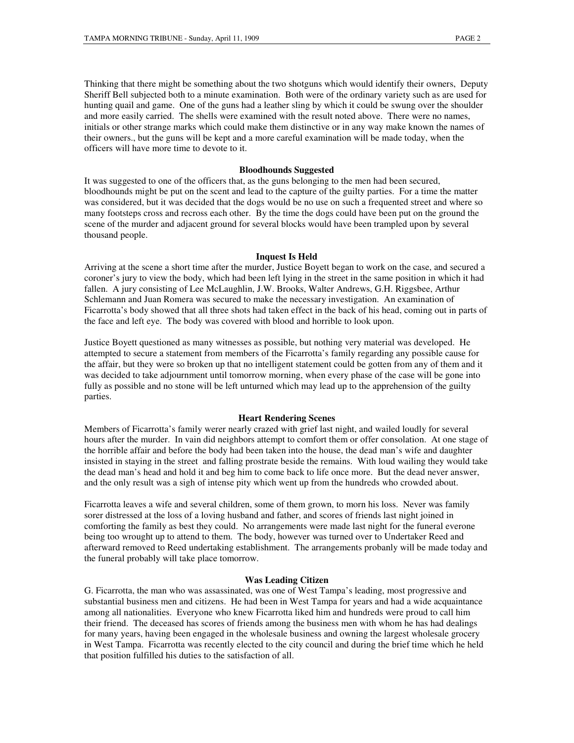Thinking that there might be something about the two shotguns which would identify their owners, Deputy Sheriff Bell subjected both to a minute examination. Both were of the ordinary variety such as are used for hunting quail and game. One of the guns had a leather sling by which it could be swung over the shoulder and more easily carried. The shells were examined with the result noted above. There were no names, initials or other strange marks which could make them distinctive or in any way make known the names of their owners., but the guns will be kept and a more careful examination will be made today, when the officers will have more time to devote to it.

#### **Bloodhounds Suggested**

It was suggested to one of the officers that, as the guns belonging to the men had been secured, bloodhounds might be put on the scent and lead to the capture of the guilty parties. For a time the matter was considered, but it was decided that the dogs would be no use on such a frequented street and where so many footsteps cross and recross each other. By the time the dogs could have been put on the ground the scene of the murder and adjacent ground for several blocks would have been trampled upon by several thousand people.

#### **Inquest Is Held**

Arriving at the scene a short time after the murder, Justice Boyett began to work on the case, and secured a coroner's jury to view the body, which had been left lying in the street in the same position in which it had fallen. A jury consisting of Lee McLaughlin, J.W. Brooks, Walter Andrews, G.H. Riggsbee, Arthur Schlemann and Juan Romera was secured to make the necessary investigation. An examination of Ficarrotta's body showed that all three shots had taken effect in the back of his head, coming out in parts of the face and left eye. The body was covered with blood and horrible to look upon.

Justice Boyett questioned as many witnesses as possible, but nothing very material was developed. He attempted to secure a statement from members of the Ficarrotta's family regarding any possible cause for the affair, but they were so broken up that no intelligent statement could be gotten from any of them and it was decided to take adjournment until tomorrow morning, when every phase of the case will be gone into fully as possible and no stone will be left unturned which may lead up to the apprehension of the guilty parties.

#### **Heart Rendering Scenes**

Members of Ficarrotta's family werer nearly crazed with grief last night, and wailed loudly for several hours after the murder. In vain did neighbors attempt to comfort them or offer consolation. At one stage of the horrible affair and before the body had been taken into the house, the dead man's wife and daughter insisted in staying in the street and falling prostrate beside the remains. With loud wailing they would take the dead man's head and hold it and beg him to come back to life once more. But the dead never answer, and the only result was a sigh of intense pity which went up from the hundreds who crowded about.

Ficarrotta leaves a wife and several children, some of them grown, to morn his loss. Never was family sorer distressed at the loss of a loving husband and father, and scores of friends last night joined in comforting the family as best they could. No arrangements were made last night for the funeral everone being too wrought up to attend to them. The body, however was turned over to Undertaker Reed and afterward removed to Reed undertaking establishment. The arrangements probanly will be made today and the funeral probably will take place tomorrow.

#### **Was Leading Citizen**

G. Ficarrotta, the man who was assassinated, was one of West Tampa's leading, most progressive and substantial business men and citizens. He had been in West Tampa for years and had a wide acquaintance among all nationalities. Everyone who knew Ficarrotta liked him and hundreds were proud to call him their friend. The deceased has scores of friends among the business men with whom he has had dealings for many years, having been engaged in the wholesale business and owning the largest wholesale grocery in West Tampa. Ficarrotta was recently elected to the city council and during the brief time which he held that position fulfilled his duties to the satisfaction of all.